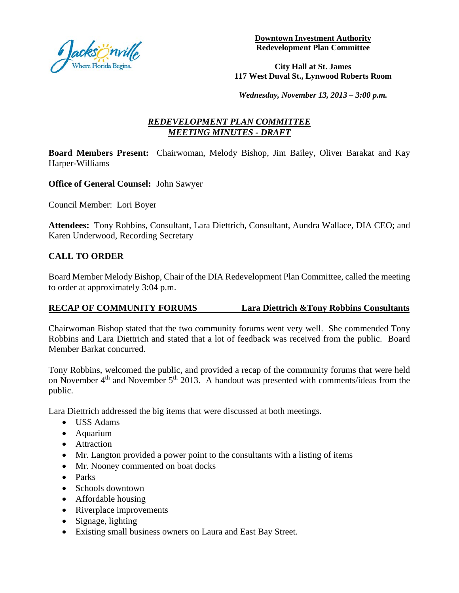

**Downtown Investment Authority Redevelopment Plan Committee**

#### **City Hall at St. James 117 West Duval St., Lynwood Roberts Room**

*Wednesday, November 13, 2013 – 3:00 p.m.*

# *REDEVELOPMENT PLAN COMMITTEE MEETING MINUTES - DRAFT*

**Board Members Present:** Chairwoman, Melody Bishop, Jim Bailey, Oliver Barakat and Kay Harper-Williams

**Office of General Counsel:** John Sawyer

Council Member: Lori Boyer

**Attendees:** Tony Robbins, Consultant, Lara Diettrich, Consultant, Aundra Wallace, DIA CEO; and Karen Underwood, Recording Secretary

### **CALL TO ORDER**

Board Member Melody Bishop, Chair of the DIA Redevelopment Plan Committee, called the meeting to order at approximately 3:04 p.m.

#### **RECAP OF COMMUNITY FORUMS Lara Diettrich &Tony Robbins Consultants**

Chairwoman Bishop stated that the two community forums went very well. She commended Tony Robbins and Lara Diettrich and stated that a lot of feedback was received from the public. Board Member Barkat concurred.

Tony Robbins, welcomed the public, and provided a recap of the community forums that were held on November  $4<sup>th</sup>$  and November  $5<sup>th</sup>$  2013. A handout was presented with comments/ideas from the public.

Lara Diettrich addressed the big items that were discussed at both meetings.

- USS Adams
- Aquarium
- Attraction
- Mr. Langton provided a power point to the consultants with a listing of items
- Mr. Nooney commented on boat docks
- Parks
- Schools downtown
- Affordable housing
- Riverplace improvements
- Signage, lighting
- Existing small business owners on Laura and East Bay Street.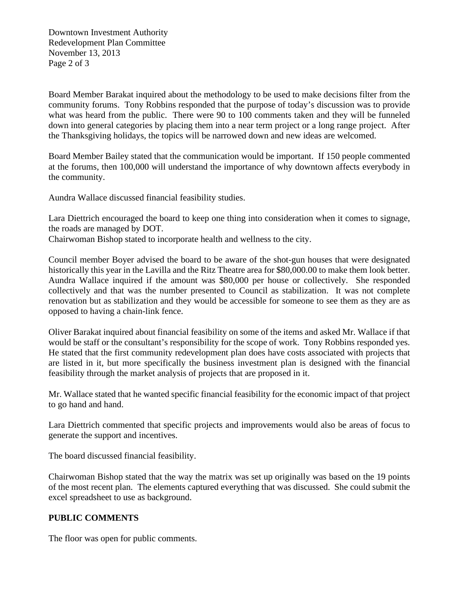Downtown Investment Authority Redevelopment Plan Committee November 13, 2013 Page 2 of 3

Board Member Barakat inquired about the methodology to be used to make decisions filter from the community forums. Tony Robbins responded that the purpose of today's discussion was to provide what was heard from the public. There were 90 to 100 comments taken and they will be funneled down into general categories by placing them into a near term project or a long range project. After the Thanksgiving holidays, the topics will be narrowed down and new ideas are welcomed.

Board Member Bailey stated that the communication would be important. If 150 people commented at the forums, then 100,000 will understand the importance of why downtown affects everybody in the community.

Aundra Wallace discussed financial feasibility studies.

Lara Diettrich encouraged the board to keep one thing into consideration when it comes to signage, the roads are managed by DOT.

Chairwoman Bishop stated to incorporate health and wellness to the city.

Council member Boyer advised the board to be aware of the shot-gun houses that were designated historically this year in the Lavilla and the Ritz Theatre area for \$80,000.00 to make them look better. Aundra Wallace inquired if the amount was \$80,000 per house or collectively. She responded collectively and that was the number presented to Council as stabilization. It was not complete renovation but as stabilization and they would be accessible for someone to see them as they are as opposed to having a chain-link fence.

Oliver Barakat inquired about financial feasibility on some of the items and asked Mr. Wallace if that would be staff or the consultant's responsibility for the scope of work. Tony Robbins responded yes. He stated that the first community redevelopment plan does have costs associated with projects that are listed in it, but more specifically the business investment plan is designed with the financial feasibility through the market analysis of projects that are proposed in it.

Mr. Wallace stated that he wanted specific financial feasibility for the economic impact of that project to go hand and hand.

Lara Diettrich commented that specific projects and improvements would also be areas of focus to generate the support and incentives.

The board discussed financial feasibility.

Chairwoman Bishop stated that the way the matrix was set up originally was based on the 19 points of the most recent plan. The elements captured everything that was discussed. She could submit the excel spreadsheet to use as background.

## **PUBLIC COMMENTS**

The floor was open for public comments.